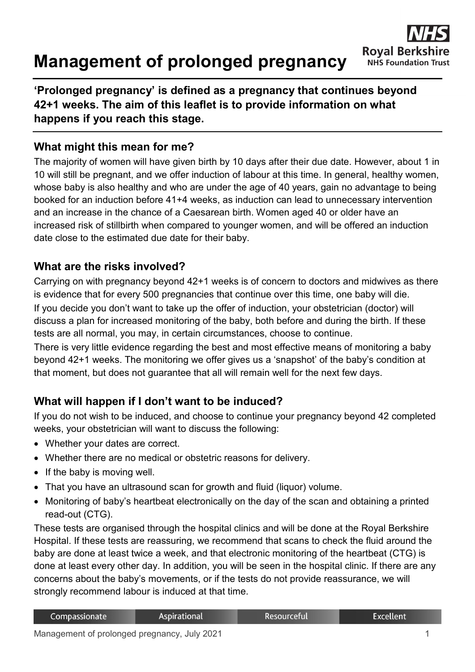# **Management of prolonged pregnancy**



## **'Prolonged pregnancy' is defined as a pregnancy that continues beyond 42+1 weeks. The aim of this leaflet is to provide information on what happens if you reach this stage.**

## **What might this mean for me?**

The majority of women will have given birth by 10 days after their due date. However, about 1 in 10 will still be pregnant, and we offer induction of labour at this time. In general, healthy women, whose baby is also healthy and who are under the age of 40 years, gain no advantage to being booked for an induction before 41+4 weeks, as induction can lead to unnecessary intervention and an increase in the chance of a Caesarean birth. Women aged 40 or older have an increased risk of stillbirth when compared to younger women, and will be offered an induction date close to the estimated due date for their baby.

#### **What are the risks involved?**

Carrying on with pregnancy beyond 42+1 weeks is of concern to doctors and midwives as there is evidence that for every 500 pregnancies that continue over this time, one baby will die. If you decide you don't want to take up the offer of induction, your obstetrician (doctor) will discuss a plan for increased monitoring of the baby, both before and during the birth. If these tests are all normal, you may, in certain circumstances, choose to continue.

There is very little evidence regarding the best and most effective means of monitoring a baby beyond 42+1 weeks. The monitoring we offer gives us a 'snapshot' of the baby's condition at that moment, but does not guarantee that all will remain well for the next few days.

## **What will happen if I don't want to be induced?**

If you do not wish to be induced, and choose to continue your pregnancy beyond 42 completed weeks, your obstetrician will want to discuss the following:

- Whether your dates are correct.
- Whether there are no medical or obstetric reasons for delivery.
- If the baby is moving well.
- That you have an ultrasound scan for growth and fluid (liquor) volume.
- Monitoring of baby's heartbeat electronically on the day of the scan and obtaining a printed read-out (CTG).

These tests are organised through the hospital clinics and will be done at the Royal Berkshire Hospital. If these tests are reassuring, we recommend that scans to check the fluid around the baby are done at least twice a week, and that electronic monitoring of the heartbeat (CTG) is done at least every other day. In addition, you will be seen in the hospital clinic. If there are any concerns about the baby's movements, or if the tests do not provide reassurance, we will strongly recommend labour is induced at that time.

| Compassionate | Aspirational | . Resourceful' | Excellent <sup>1</sup> |
|---------------|--------------|----------------|------------------------|
|               |              |                |                        |